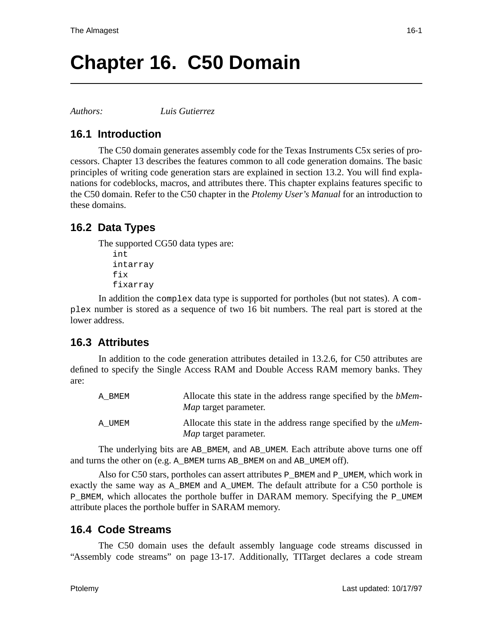# **Chapter 16. C50 Domain**

*Authors: Luis Gutierrez*

### **16.1 Introduction**

The C50 domain generates assembly code for the Texas Instruments C5x series of processors. Chapter 13 describes the features common to all code generation domains. The basic principles of writing code generation stars are explained in section 13.2. You will find explanations for codeblocks, macros, and attributes there. This chapter explains features specific to the C50 domain. Refer to the C50 chapter in the *Ptolemy User's Manual* for an introduction to these domains.

## **16.2 Data Types**

The supported CG50 data types are: int intarray fix fixarray

In addition the complex data type is supported for portholes (but not states). A complex number is stored as a sequence of two 16 bit numbers. The real part is stored at the lower address.

#### **16.3 Attributes**

In addition to the code generation attributes detailed in 13.2.6, for C50 attributes are defined to specify the Single Access RAM and Double Access RAM memory banks. They are:

| A BMEM | Allocate this state in the address range specified by the <i>bMem</i> -<br><i>Map</i> target parameter. |
|--------|---------------------------------------------------------------------------------------------------------|
| A UMEM | Allocate this state in the address range specified by the <i>uMem</i> -<br><i>Map</i> target parameter. |

The underlying bits are AB\_BMEM, and AB\_UMEM. Each attribute above turns one off and turns the other on (e.g. A\_BMEM turns AB\_BMEM on and AB\_UMEM off).

Also for C50 stars, portholes can assert attributes P\_BMEM and P\_UMEM, which work in exactly the same way as A\_BMEM and A\_UMEM. The default attribute for a C50 porthole is P\_BMEM, which allocates the porthole buffer in DARAM memory. Specifying the P\_UMEM attribute places the porthole buffer in SARAM memory.

#### **16.4 Code Streams**

The C50 domain uses the default assembly language code streams discussed in "Assembly code streams" on page 13-17. Additionally, TITarget declares a code stream